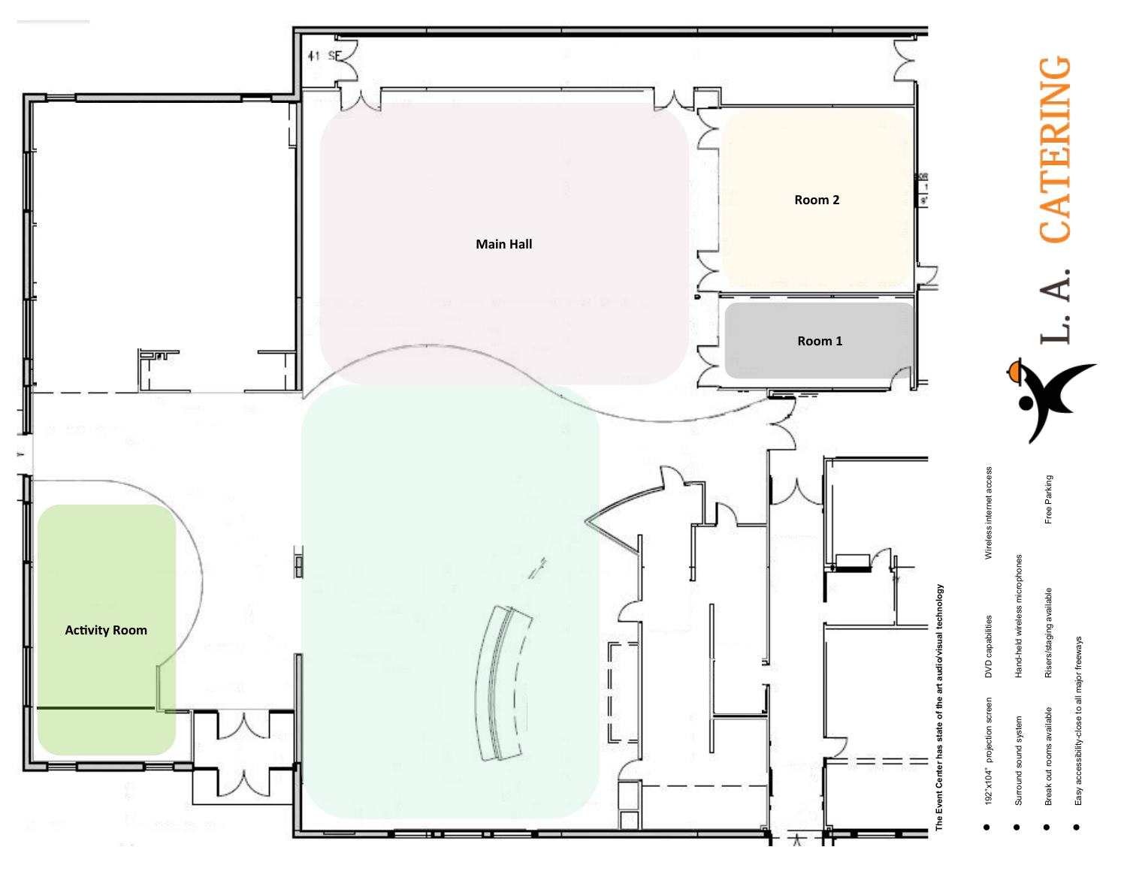